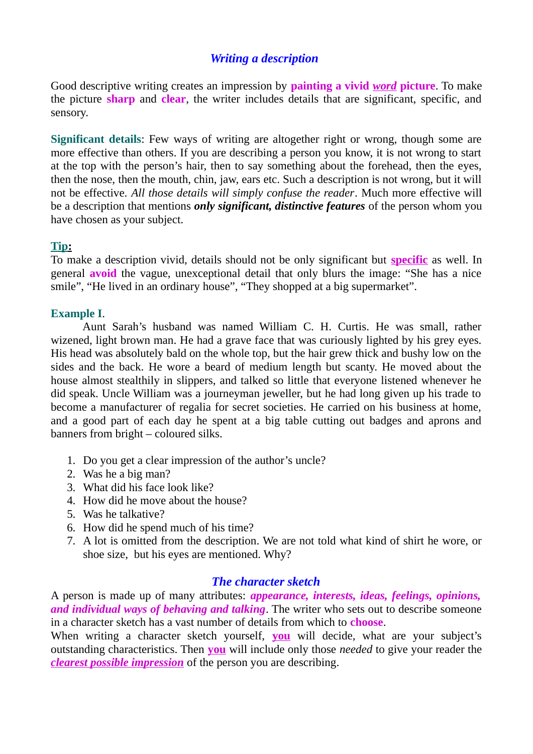# *Writing a description*

Good descriptive writing creates an impression by **painting a vivid** *word* **picture**. To make the picture **sharp** and **clear**, the writer includes details that are significant, specific, and sensory.

**Significant details**: Few ways of writing are altogether right or wrong, though some are more effective than others. If you are describing a person you know, it is not wrong to start at the top with the person's hair, then to say something about the forehead, then the eyes, then the nose, then the mouth, chin, jaw, ears etc. Such a description is not wrong, but it will not be effective. *All those details will simply confuse the reader*. Much more effective will be a description that mentions *only significant, distinctive features* of the person whom you have chosen as your subject.

#### **Tip :**

To make a description vivid, details should not be only significant but **specific** as well. In general **avoid** the vague, unexceptional detail that only blurs the image: "She has a nice smile", "He lived in an ordinary house", "They shopped at a big supermarket".

#### **Example I**.

Aunt Sarah's husband was named William C. H. Curtis. He was small, rather wizened, light brown man. He had a grave face that was curiously lighted by his grey eyes. His head was absolutely bald on the whole top, but the hair grew thick and bushy low on the sides and the back. He wore a beard of medium length but scanty. He moved about the house almost stealthily in slippers, and talked so little that everyone listened whenever he did speak. Uncle William was a journeyman jeweller, but he had long given up his trade to become a manufacturer of regalia for secret societies. He carried on his business at home, and a good part of each day he spent at a big table cutting out badges and aprons and banners from bright – coloured silks.

- 1. Do you get a clear impression of the author's uncle?
- 2. Was he a big man?
- 3. What did his face look like?
- 4. How did he move about the house?
- 5. Was he talkative?
- 6. How did he spend much of his time?
- 7. A lot is omitted from the description. We are not told what kind of shirt he wore, or shoe size, but his eyes are mentioned. Why?

#### *The character sketch*

A person is made up of many attributes: *appearance, interests, ideas, feelings, opinions, and individual ways of behaving and talking*. The writer who sets out to describe someone in a character sketch has a vast number of details from which to **choose**.

When writing a character sketch yourself, **you** will decide, what are your subject's outstanding characteristics. Then **you** will include only those *needed* to give your reader the *clearest possible impression* of the person you are describing.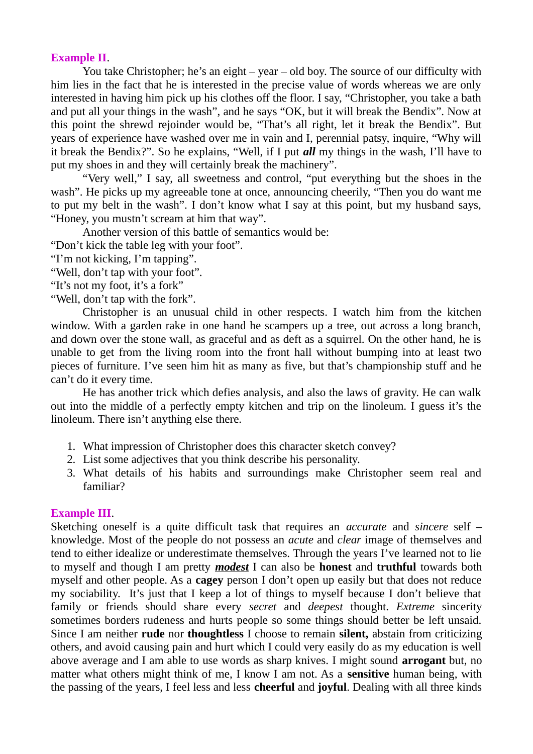#### **Example II**.

You take Christopher; he's an eight – year – old boy. The source of our difficulty with him lies in the fact that he is interested in the precise value of words whereas we are only interested in having him pick up his clothes off the floor. I say, "Christopher, you take a bath and put all your things in the wash", and he says "OK, but it will break the Bendix". Now at this point the shrewd rejoinder would be, "That's all right, let it break the Bendix". But years of experience have washed over me in vain and I, perennial patsy, inquire, "Why will it break the Bendix?". So he explains, "Well, if I put *all* my things in the wash, I'll have to put my shoes in and they will certainly break the machinery".

"Very well," I say, all sweetness and control, "put everything but the shoes in the wash". He picks up my agreeable tone at once, announcing cheerily, "Then you do want me to put my belt in the wash". I don't know what I say at this point, but my husband says, "Honey, you mustn't scream at him that way".

Another version of this battle of semantics would be:

"Don't kick the table leg with your foot".

"I'm not kicking, I'm tapping".

"Well, don't tap with your foot".

"It's not my foot, it's a fork"

"Well, don't tap with the fork".

Christopher is an unusual child in other respects. I watch him from the kitchen window. With a garden rake in one hand he scampers up a tree, out across a long branch, and down over the stone wall, as graceful and as deft as a squirrel. On the other hand, he is unable to get from the living room into the front hall without bumping into at least two pieces of furniture. I've seen him hit as many as five, but that's championship stuff and he can't do it every time.

He has another trick which defies analysis, and also the laws of gravity. He can walk out into the middle of a perfectly empty kitchen and trip on the linoleum. I guess it's the linoleum. There isn't anything else there.

- 1. What impression of Christopher does this character sketch convey?
- 2. List some adjectives that you think describe his personality.
- 3. What details of his habits and surroundings make Christopher seem real and familiar?

## **Example III**.

Sketching oneself is a quite difficult task that requires an *accurate* and *sincere* self – knowledge. Most of the people do not possess an *acute* and *clear* image of themselves and tend to either idealize or underestimate themselves. Through the years I've learned not to lie to myself and though I am pretty *modest* I can also be **honest** and **truthful** towards both myself and other people. As a **cagey** person I don't open up easily but that does not reduce my sociability. It's just that I keep a lot of things to myself because I don't believe that family or friends should share every *secret* and *deepest* thought. *Extreme* sincerity sometimes borders rudeness and hurts people so some things should better be left unsaid. Since I am neither **rude** nor **thoughtless** I choose to remain **silent,** abstain from criticizing others, and avoid causing pain and hurt which I could very easily do as my education is well above average and I am able to use words as sharp knives. I might sound **arrogant** but, no matter what others might think of me, I know I am not. As a **sensitive** human being, with the passing of the years, I feel less and less **cheerful** and **joyful**. Dealing with all three kinds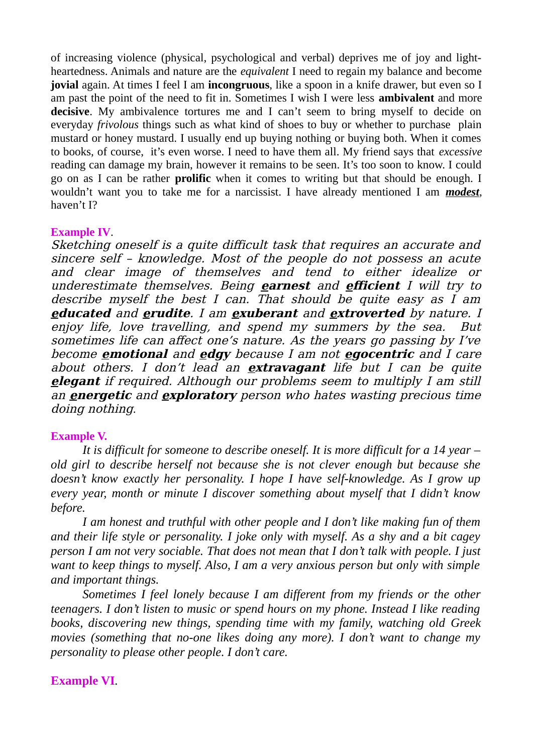of increasing violence (physical, psychological and verbal) deprives me of joy and lightheartedness. Animals and nature are the *equivalent* I need to regain my balance and become **jovial** again. At times I feel I am **incongruous**, like a spoon in a knife drawer, but even so I am past the point of the need to fit in. Sometimes I wish I were less **ambivalent** and more **decisive**. My ambivalence tortures me and I can't seem to bring myself to decide on everyday *frivolous* things such as what kind of shoes to buy or whether to purchase plain mustard or honey mustard. I usually end up buying nothing or buying both. When it comes to books, of course, it's even worse. I need to have them all. My friend says that *excessive* reading can damage my brain, however it remains to be seen. It's too soon to know. I could go on as I can be rather **prolific** when it comes to writing but that should be enough. I wouldn't want you to take me for a narcissist. I have already mentioned I am *modest*, haven't I?

## **Example IV**.

Sketching oneself is a quite difficult task that requires an accurate and sincere self – knowledge. Most of the people do not possess an acute and clear image of themselves and tend to either idealize or underestimate themselves. Being **earnest** and **efficient** I will try to describe myself the best I can. That should be quite easy as I am **educated** and **erudite**. I am **exuberant** and **extroverted** by nature. I enjoy life, love travelling, and spend my summers by the sea. But sometimes life can affect one's nature. As the years go passing by I've become **emotional** and **edgy** because I am not **egocentric** and I care about others. I don't lead an **extravagant** life but I can be quite **elegant** if required. Although our problems seem to multiply I am still an **energetic** and **exploratory** person who hates wasting precious time doing nothing.

## **Example V.**

*It is difficult for someone to describe oneself. It is more difficult for a 14 year – old girl to describe herself not because she is not clever enough but because she doesn't know exactly her personality. I hope I have self-knowledge. As I grow up every year, month or minute I discover something about myself that I didn't know before.*

*I am honest and truthful with other people and I don't like making fun of them and their life style or personality. I joke only with myself. As a shy and a bit cagey person I am not very sociable. That does not mean that I don't talk with people. I just want to keep things to myself. Also, I am a very anxious person but only with simple and important things.*

*Sometimes I feel lonely because I am different from my friends or the other teenagers. I don't listen to music or spend hours on my phone. Instead I like reading books, discovering new things, spending time with my family, watching old Greek movies (something that no-one likes doing any more). I don't want to change my personality to please other people. I don't care.* 

## **Example VI***.*